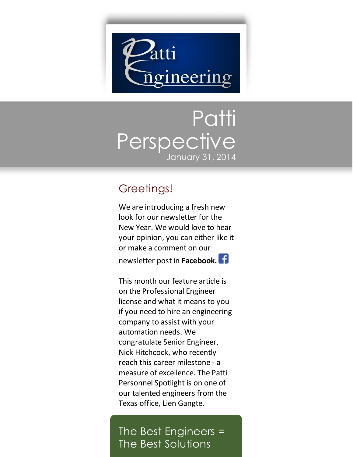

## Patti Perspective January 31, 2014

## Greetings!

We are introducing a fresh new look for our newsletter for the New Year. We would love to hear your opinion, you can either like it or make a comment on our newsletter post in **[Facebook.](https://www.facebook.com/pages/Patti-Engineering/76795153619)**

This month our feature article is on the Professional Engineer license and what it means to you if you need to hire an engineering company to assist with your automation needs. We congratulate Senior Engineer, Nick Hitchcock, who recently reach this career milestone - a measure of excellence. The Patti Personnel Spotlight is on one of our talented engineers from the Texas office, Lien Gangte.

The Best Engineers = The Best Solutions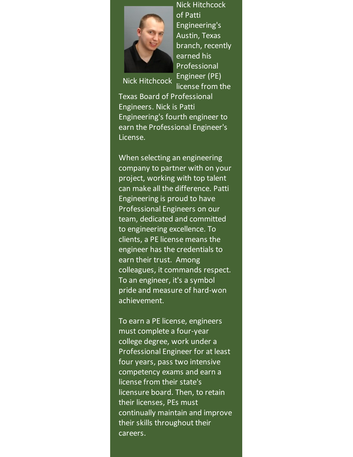

Nick Hitchcock of Patti Engineering's Austin, Texas branch, recently earned his Professional Engineer (PE) license from the

Nick Hitchcock

Texas Board of Professional Engineers. Nick is Patti Engineering's fourth engineer to earn the Professional Engineer's License.

When selecting an engineering company to partner with on your project, working with top talent can make all the difference. Patti Engineering is proud to have Professional Engineers on our team, dedicated and committed to engineering excellence. To clients, a PE license means the engineer has the credentials to earn their trust. Among colleagues, it commands respect. To an engineer, it's a symbol pride and measure of hard-won achievement.

To earn a PE license, engineers must complete a four-year college degree, work under a Professional Engineer for at least four years, pass two intensive competency exams and earn a license from their state's licensure board. Then, to retain their licenses, PEs must continually maintain and improve their skills throughout their careers.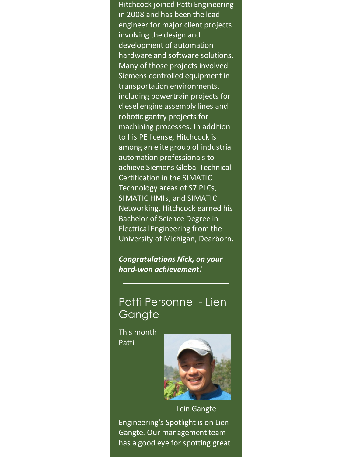Hitchcock joined Patti Engineering in 2008 and has been the lead engineer for major client projects involving the design and development of automation hardware and software solutions. Many of those projects involved Siemens controlled equipment in transportation environments, including powertrain projects for diesel engine assembly lines and robotic gantry projects for machining processes. In addition to his PE license, Hitchcock is among an elite group of industrial automation professionals to achieve Siemens Global Technical Certification in the SIMATIC Technology areas of S7 PLCs, SIMATIC HMIs, and SIMATIC Networking. Hitchcock earned his Bachelor of Science Degree in Electrical Engineering from the University of Michigan, Dearborn.

*Congratulations Nick, on your hard-won achievement!*

## Patti Personnel - Lien **Gangte**

This month Patti



Lein Gangte Engineering's Spotlight is on Lien Gangte. Our management team has a good eye for spotting great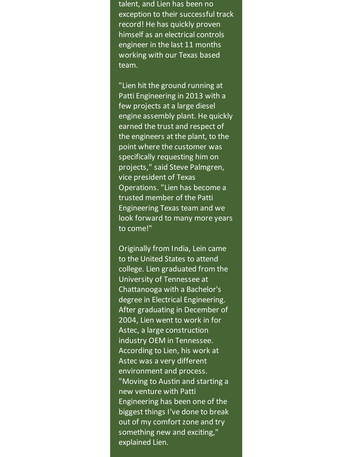talent, and Lien has been no exception to their successful track record! He has quickly proven himself as an electrical controls engineer in the last 11 months working with our Texas based team.

"Lien hit the ground running at Patti Engineering in 2013 with a few projects at a large diesel engine assembly plant. He quickly earned the trust and respect of the engineers at the plant, to the point where the customer was specifically requesting him on projects," said Steve Palmgren, vice president of Texas Operations. "Lien has become a trusted member of the Patti Engineering Texas team and we look forward to many more years to come!"

Originally from India, Lein came to the United States to attend college. Lien graduated from the University of Tennessee at Chattanooga with a Bachelor's degree in Electrical Engineering. After graduating in December of 2004, Lien went to work in for Astec, a large construction industry OEM in Tennessee. According to Lien, his work at Astec was a very different environment and process. "Moving to Austin and starting a new venture with Patti Engineering has been one of the biggest things I've done to break out of my comfort zone and try something new and exciting," explained Lien.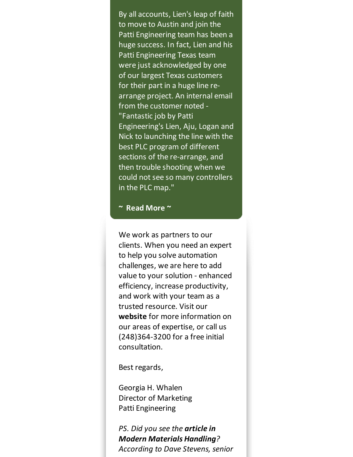By all accounts, Lien's leap of faith to move to Austin and join the Patti Engineering team has been a huge success. In fact, Lien and his Patti Engineering Texas team were just acknowledged by one of our largest Texas customers for their part in a huge line rearrange project. An internal email from the customer noted - "Fantastic job by Patti Engineering's Lien, Aju, Logan and Nick to launching the line with the best PLC program of different sections of the re-arrange, and then trouble shooting when we could not see so many controllers in the PLC map."

## **~ Read [More](https://origin.library.constantcontact.com/doc205/1101449641109/doc/RUNotHg1WZt8yd2b.pdf) ~**

We work as partners to our clients. When you need an expert to help you solve automation challenges, we are here to add value to your solution - enhanced efficiency, increase productivity, and work with your team as a trusted resource. Visit our **[website](http://www.pattieng.com/expertise.html?utm_source=Patti+Perspective_January_2014&utm_campaign=Newsletter+Jan+2014&utm_medium=email)** for more information on our areas of expertise, or call us (248)364-3200 for a free initial consultation.

Best regards,

Georgia H. Whalen Director of Marketing Patti Engineering

*PS. Did you see the article in Modern [Materials](http://www.mmh.com/article/retailer_chooses_conveyor_and_sortation_upgrade_over_replacement?utm_source=Patti+Perspective_January_2014&utm_campaign=Newsletter+Jan+2014&utm_medium=email) Handling? According to Dave Stevens, senior*